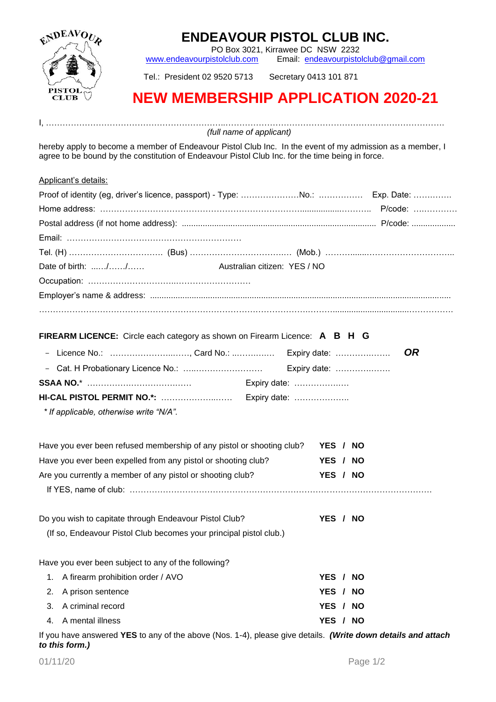

## **ENDEAVOUR PISTOL CLUB INC.**

PO Box 3021, Kirrawee DC NSW 2232

[www.endeavourpistolclub.com](http://www.endeavourpistolclub.com/) Email: [endeavourpistolclub@gmail.com](mailto:endeavourpistolclub@gmail.com)

Tel.: President 02 9520 5713 Secretary 0413 101 871

## **NEW MEMBERSHIP APPLICATION 2020-21**

I, ………………………………………………………..……………………………………………………………………. *(full name of applicant)*

hereby apply to become a member of Endeavour Pistol Club Inc. In the event of my admission as a member, I agree to be bound by the constitution of Endeavour Pistol Club Inc. for the time being in force.

| Applicant's details:                                                              |           |  |  |
|-----------------------------------------------------------------------------------|-----------|--|--|
|                                                                                   |           |  |  |
|                                                                                   |           |  |  |
|                                                                                   |           |  |  |
|                                                                                   |           |  |  |
| Tel. (H) ……………………………………(Bus) ……………………………………(Mob.)……………………………………………                |           |  |  |
| Date of birth: //<br>Australian citizen: YES / NO                                 |           |  |  |
|                                                                                   |           |  |  |
|                                                                                   |           |  |  |
|                                                                                   |           |  |  |
|                                                                                   |           |  |  |
| <b>FIREARM LICENCE:</b> Circle each category as shown on Firearm Licence: A B H G |           |  |  |
| - Licence No.: , Card No.:  Expiry date:                                          | <b>OR</b> |  |  |
|                                                                                   |           |  |  |
|                                                                                   |           |  |  |
|                                                                                   |           |  |  |
| * If applicable, otherwise write "N/A".                                           |           |  |  |
|                                                                                   |           |  |  |
| Have you ever been refused membership of any pistol or shooting club?             | YES / NO  |  |  |
| Have you ever been expelled from any pistol or shooting club?                     | YES / NO  |  |  |
| Are you currently a member of any pistol or shooting club?                        | YES / NO  |  |  |
|                                                                                   |           |  |  |
|                                                                                   |           |  |  |
| Do you wish to capitate through Endeavour Pistol Club?                            | YES / NO  |  |  |
| (If so, Endeavour Pistol Club becomes your principal pistol club.)                |           |  |  |
|                                                                                   |           |  |  |
| Have you ever been subject to any of the following?                               |           |  |  |
| A firearm prohibition order / AVO<br>1.                                           | YES / NO  |  |  |
| A prison sentence<br>2.                                                           | YES / NO  |  |  |
| A criminal record<br>3.                                                           | YES / NO  |  |  |
| A mental illness<br>4.                                                            | YES / NO  |  |  |

If you have answered **YES** to any of the above (Nos. 1-4), please give details. *(Write down details and attach to this form.)*